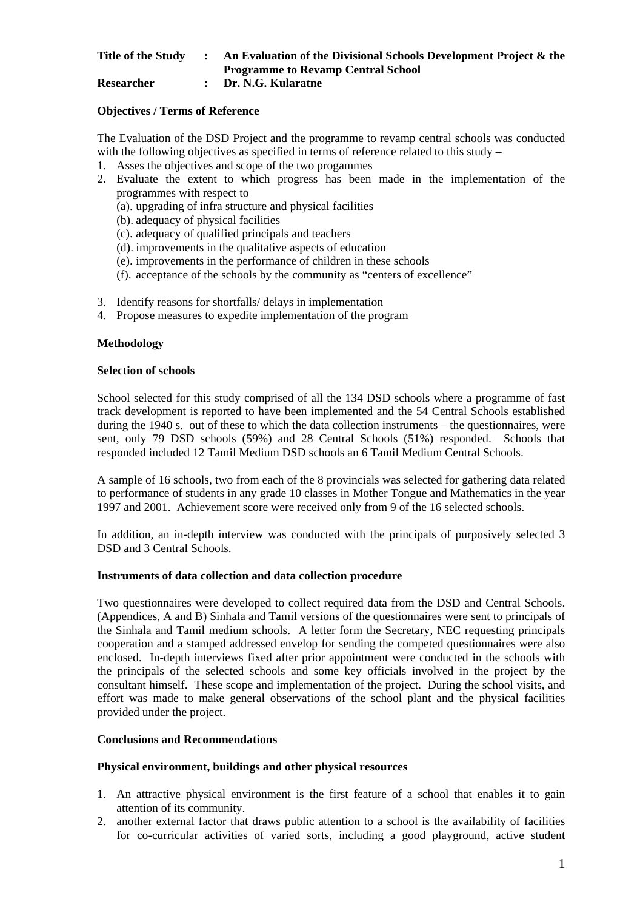# **Title of the Study : An Evaluation of the Divisional Schools Development Project & the Programme to Revamp Central School**

**Researcher : Dr. N.G. Kularatne** 

## **Objectives / Terms of Reference**

The Evaluation of the DSD Project and the programme to revamp central schools was conducted with the following objectives as specified in terms of reference related to this study –

- 1. Asses the objectives and scope of the two progammes
- 2. Evaluate the extent to which progress has been made in the implementation of the programmes with respect to
	- (a). upgrading of infra structure and physical facilities
	- (b). adequacy of physical facilities
	- (c). adequacy of qualified principals and teachers
	- (d). improvements in the qualitative aspects of education
	- (e). improvements in the performance of children in these schools
	- (f). acceptance of the schools by the community as "centers of excellence"
- 3. Identify reasons for shortfalls/ delays in implementation
- 4. Propose measures to expedite implementation of the program

### **Methodology**

### **Selection of schools**

School selected for this study comprised of all the 134 DSD schools where a programme of fast track development is reported to have been implemented and the 54 Central Schools established during the 1940 s. out of these to which the data collection instruments – the questionnaires, were sent, only 79 DSD schools (59%) and 28 Central Schools (51%) responded. Schools that responded included 12 Tamil Medium DSD schools an 6 Tamil Medium Central Schools.

A sample of 16 schools, two from each of the 8 provincials was selected for gathering data related to performance of students in any grade 10 classes in Mother Tongue and Mathematics in the year 1997 and 2001. Achievement score were received only from 9 of the 16 selected schools.

In addition, an in-depth interview was conducted with the principals of purposively selected 3 DSD and 3 Central Schools.

### **Instruments of data collection and data collection procedure**

Two questionnaires were developed to collect required data from the DSD and Central Schools. (Appendices, A and B) Sinhala and Tamil versions of the questionnaires were sent to principals of the Sinhala and Tamil medium schools. A letter form the Secretary, NEC requesting principals cooperation and a stamped addressed envelop for sending the competed questionnaires were also enclosed. In-depth interviews fixed after prior appointment were conducted in the schools with the principals of the selected schools and some key officials involved in the project by the consultant himself. These scope and implementation of the project. During the school visits, and effort was made to make general observations of the school plant and the physical facilities provided under the project.

# **Conclusions and Recommendations**

## **Physical environment, buildings and other physical resources**

- 1. An attractive physical environment is the first feature of a school that enables it to gain attention of its community.
- 2. another external factor that draws public attention to a school is the availability of facilities for co-curricular activities of varied sorts, including a good playground, active student